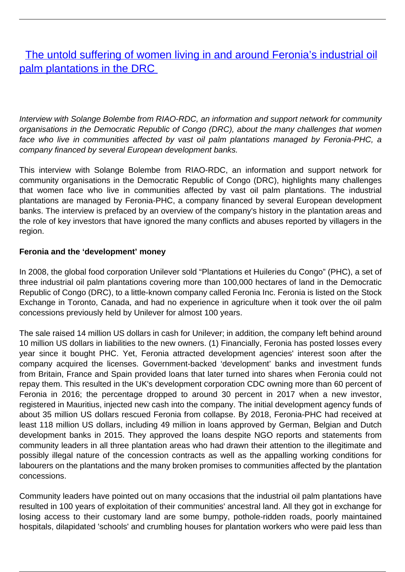[The untold suffering of women living in and around Feronia's industrial oil](/bulletin-articles/the-untold-suffering-of-women-living-in-and-around-feronias-industrial-oil-palm-plantations-in-the-drc) [palm plantations in the DRC](/bulletin-articles/the-untold-suffering-of-women-living-in-and-around-feronias-industrial-oil-palm-plantations-in-the-drc)

Interview with Solange Bolembe from RIAO-RDC, an information and support network for community organisations in the Democratic Republic of Congo (DRC), about the many challenges that women face who live in communities affected by vast oil palm plantations managed by Feronia-PHC, a company financed by several European development banks.

This interview with Solange Bolembe from RIAO-RDC, an information and support network for community organisations in the Democratic Republic of Congo (DRC), highlights many challenges that women face who live in communities affected by vast oil palm plantations. The industrial plantations are managed by Feronia-PHC, a company financed by several European development banks. The interview is prefaced by an overview of the company's history in the plantation areas and the role of key investors that have ignored the many conflicts and abuses reported by villagers in the region.

# **Feronia and the 'development' money**

In 2008, the global food corporation Unilever sold "Plantations et Huileries du Congo" (PHC), a set of three industrial oil palm plantations covering more than 100,000 hectares of land in the Democratic Republic of Congo (DRC), to a little-known company called Feronia Inc. Feronia is listed on the Stock Exchange in Toronto, Canada, and had no experience in agriculture when it took over the oil palm concessions previously held by Unilever for almost 100 years.

The sale raised 14 million US dollars in cash for Unilever; in addition, the company left behind around 10 million US dollars in liabilities to the new owners. (1) Financially, Feronia has posted losses every year since it bought PHC. Yet, Feronia attracted development agencies' interest soon after the company acquired the licenses. Government-backed 'development' banks and investment funds from Britain, France and Spain provided loans that later turned into shares when Feronia could not repay them. This resulted in the UK's development corporation CDC owning more than 60 percent of Feronia in 2016; the percentage dropped to around 30 percent in 2017 when a new investor, registered in Mauritius, injected new cash into the company. The initial development agency funds of about 35 million US dollars rescued Feronia from collapse. By 2018, Feronia-PHC had received at least 118 million US dollars, including 49 million in loans approved by German, Belgian and Dutch development banks in 2015. They approved the loans despite NGO reports and statements from community leaders in all three plantation areas who had drawn their attention to the illegitimate and possibly illegal nature of the concession contracts as well as the appalling working conditions for labourers on the plantations and the many broken promises to communities affected by the plantation concessions.

Community leaders have pointed out on many occasions that the industrial oil palm plantations have resulted in 100 years of exploitation of their communities' ancestral land. All they got in exchange for losing access to their customary land are some bumpy, pothole-ridden roads, poorly maintained hospitals, dilapidated 'schools' and crumbling houses for plantation workers who were paid less than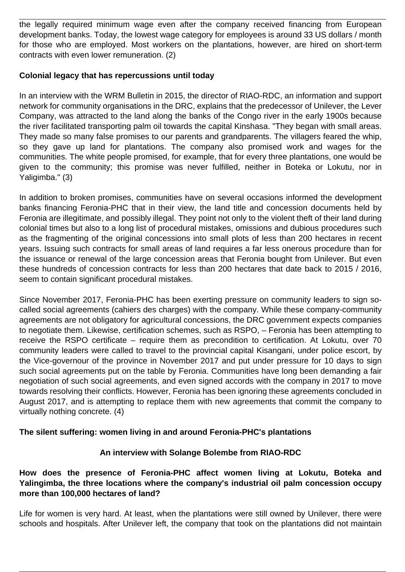the legally required minimum wage even after the company received financing from European development banks. Today, the lowest wage category for employees is around 33 US dollars / month for those who are employed. Most workers on the plantations, however, are hired on short-term contracts with even lower remuneration. (2)

## **Colonial legacy that has repercussions until today**

In an interview with the WRM Bulletin in 2015, the director of RIAO-RDC, an information and support network for community organisations in the DRC, explains that the predecessor of Unilever, the Lever Company, was attracted to the land along the banks of the Congo river in the early 1900s because the river facilitated transporting palm oil towards the capital Kinshasa. "They began with small areas. They made so many false promises to our parents and grandparents. The villagers feared the whip, so they gave up land for plantations. The company also promised work and wages for the communities. The white people promised, for example, that for every three plantations, one would be given to the community; this promise was never fulfilled, neither in Boteka or Lokutu, nor in Yaligimba." (3)

In addition to broken promises, communities have on several occasions informed the development banks financing Feronia-PHC that in their view, the land title and concession documents held by Feronia are illegitimate, and possibly illegal. They point not only to the violent theft of their land during colonial times but also to a long list of procedural mistakes, omissions and dubious procedures such as the fragmenting of the original concessions into small plots of less than 200 hectares in recent years. Issuing such contracts for small areas of land requires a far less onerous procedure than for the issuance or renewal of the large concession areas that Feronia bought from Unilever. But even these hundreds of concession contracts for less than 200 hectares that date back to 2015 / 2016, seem to contain significant procedural mistakes.

Since November 2017, Feronia-PHC has been exerting pressure on community leaders to sign socalled social agreements (cahiers des charges) with the company. While these company-community agreements are not obligatory for agricultural concessions, the DRC government expects companies to negotiate them. Likewise, certification schemes, such as RSPO, – Feronia has been attempting to receive the RSPO certificate – require them as precondition to certification. At Lokutu, over 70 community leaders were called to travel to the provincial capital Kisangani, under police escort, by the Vice-governour of the province in November 2017 and put under pressure for 10 days to sign such social agreements put on the table by Feronia. Communities have long been demanding a fair negotiation of such social agreements, and even signed accords with the company in 2017 to move towards resolving their conflicts. However, Feronia has been ignoring these agreements concluded in August 2017, and is attempting to replace them with new agreements that commit the company to virtually nothing concrete. (4)

## **The silent suffering: women living in and around Feronia-PHC's plantations**

## **An interview with Solange Bolembe from RIAO-RDC**

# **How does the presence of Feronia-PHC affect women living at Lokutu, Boteka and Yalingimba, the three locations where the company's industrial oil palm concession occupy more than 100,000 hectares of land?**

Life for women is very hard. At least, when the plantations were still owned by Unilever, there were schools and hospitals. After Unilever left, the company that took on the plantations did not maintain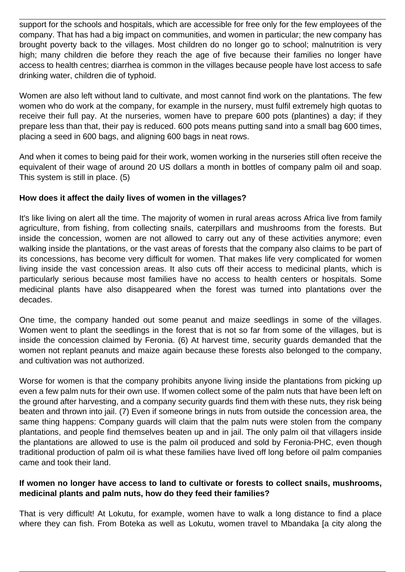support for the schools and hospitals, which are accessible for free only for the few employees of the company. That has had a big impact on communities, and women in particular; the new company has brought poverty back to the villages. Most children do no longer go to school; malnutrition is very high; many children die before they reach the age of five because their families no longer have access to health centres; diarrhea is common in the villages because people have lost access to safe drinking water, children die of typhoid.

Women are also left without land to cultivate, and most cannot find work on the plantations. The few women who do work at the company, for example in the nursery, must fulfil extremely high quotas to receive their full pay. At the nurseries, women have to prepare 600 pots (plantines) a day; if they prepare less than that, their pay is reduced. 600 pots means putting sand into a small bag 600 times, placing a seed in 600 bags, and aligning 600 bags in neat rows.

And when it comes to being paid for their work, women working in the nurseries still often receive the equivalent of their wage of around 20 US dollars a month in bottles of company palm oil and soap. This system is still in place. (5)

## **How does it affect the daily lives of women in the villages?**

It's like living on alert all the time. The majority of women in rural areas across Africa live from family agriculture, from fishing, from collecting snails, caterpillars and mushrooms from the forests. But inside the concession, women are not allowed to carry out any of these activities anymore; even walking inside the plantations, or the vast areas of forests that the company also claims to be part of its concessions, has become very difficult for women. That makes life very complicated for women living inside the vast concession areas. It also cuts off their access to medicinal plants, which is particularly serious because most families have no access to health centers or hospitals. Some medicinal plants have also disappeared when the forest was turned into plantations over the decades.

One time, the company handed out some peanut and maize seedlings in some of the villages. Women went to plant the seedlings in the forest that is not so far from some of the villages, but is inside the concession claimed by Feronia. (6) At harvest time, security guards demanded that the women not replant peanuts and maize again because these forests also belonged to the company, and cultivation was not authorized.

Worse for women is that the company prohibits anyone living inside the plantations from picking up even a few palm nuts for their own use. If women collect some of the palm nuts that have been left on the ground after harvesting, and a company security guards find them with these nuts, they risk being beaten and thrown into jail. (7) Even if someone brings in nuts from outside the concession area, the same thing happens: Company guards will claim that the palm nuts were stolen from the company plantations, and people find themselves beaten up and in jail. The only palm oil that villagers inside the plantations are allowed to use is the palm oil produced and sold by Feronia-PHC, even though traditional production of palm oil is what these families have lived off long before oil palm companies came and took their land.

#### **If women no longer have access to land to cultivate or forests to collect snails, mushrooms, medicinal plants and palm nuts, how do they feed their families?**

That is very difficult! At Lokutu, for example, women have to walk a long distance to find a place where they can fish. From Boteka as well as Lokutu, women travel to Mbandaka [a city along the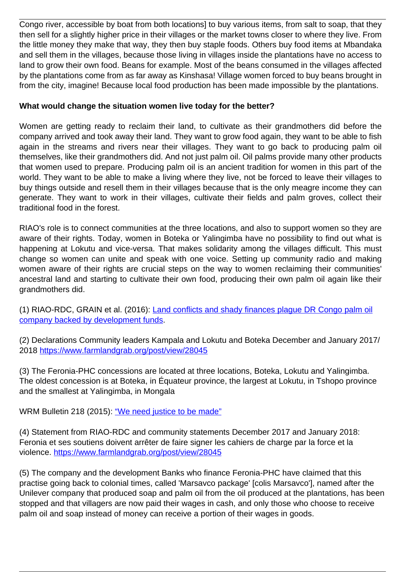Congo river, accessible by boat from both locations] to buy various items, from salt to soap, that they then sell for a slightly higher price in their villages or the market towns closer to where they live. From the little money they make that way, they then buy staple foods. Others buy food items at Mbandaka and sell them in the villages, because those living in villages inside the plantations have no access to land to grow their own food. Beans for example. Most of the beans consumed in the villages affected by the plantations come from as far away as Kinshasa! Village women forced to buy beans brought in from the city, imagine! Because local food production has been made impossible by the plantations.

# **What would change the situation women live today for the better?**

Women are getting ready to reclaim their land, to cultivate as their grandmothers did before the company arrived and took away their land. They want to grow food again, they want to be able to fish again in the streams and rivers near their villages. They want to go back to producing palm oil themselves, like their grandmothers did. And not just palm oil. Oil palms provide many other products that women used to prepare. Producing palm oil is an ancient tradition for women in this part of the world. They want to be able to make a living where they live, not be forced to leave their villages to buy things outside and resell them in their villages because that is the only meagre income they can generate. They want to work in their villages, cultivate their fields and palm groves, collect their traditional food in the forest.

RIAO's role is to connect communities at the three locations, and also to support women so they are aware of their rights. Today, women in Boteka or Yalingimba have no possibility to find out what is happening at Lokutu and vice-versa. That makes solidarity among the villages difficult. This must change so women can unite and speak with one voice. Setting up community radio and making women aware of their rights are crucial steps on the way to women reclaiming their communities' ancestral land and starting to cultivate their own food, producing their own palm oil again like their grandmothers did.

(1) RIAO-RDC, GRAIN et al. (2016): [Land conflicts and shady finances plague DR Congo palm oil](https://wrm.org.uy/books-and-briefings/land-conflicts-and-shady-finances-plague-dr-congo-palm-oil-company-backed-by-development-funds/) [company backed by development funds.](https://wrm.org.uy/books-and-briefings/land-conflicts-and-shady-finances-plague-dr-congo-palm-oil-company-backed-by-development-funds/)

(2) Declarations Community leaders Kampala and Lokutu and Boteka December and January 2017/ 2018<https://www.farmlandgrab.org/post/view/28045>

(3) The Feronia-PHC concessions are located at three locations, Boteka, Lokutu and Yalingimba. The oldest concession is at Boteka, in Équateur province, the largest at Lokutu, in Tshopo province and the smallest at Yalingimba, in Mongala

WRM Bulletin 218 (2015): ["We need justice to be made"](https://wrm.org.uy/articles-from-the-wrm-bulletin/section1/democratic-republic-of-congo-we-need-justice-to-be-made/)

(4) Statement from RIAO-RDC and community statements December 2017 and January 2018: Feronia et ses soutiens doivent arrêter de faire signer les cahiers de charge par la force et la violence.<https://www.farmlandgrab.org/post/view/28045>

(5) The company and the development Banks who finance Feronia-PHC have claimed that this practise going back to colonial times, called 'Marsavco package' [colis Marsavco'], named after the Unilever company that produced soap and palm oil from the oil produced at the plantations, has been stopped and that villagers are now paid their wages in cash, and only those who choose to receive palm oil and soap instead of money can receive a portion of their wages in goods.